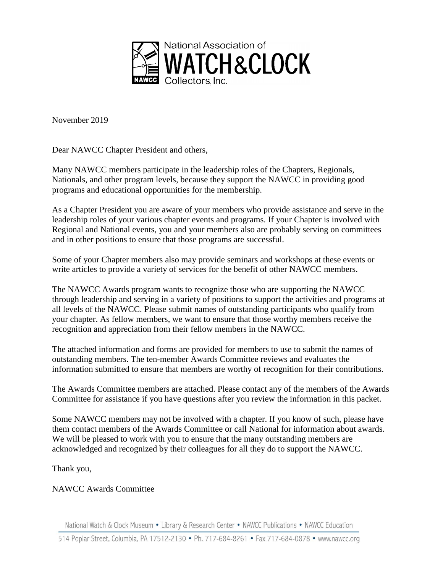

November 2019

Dear NAWCC Chapter President and others,

Many NAWCC members participate in the leadership roles of the Chapters, Regionals, Nationals, and other program levels, because they support the NAWCC in providing good programs and educational opportunities for the membership.

As a Chapter President you are aware of your members who provide assistance and serve in the leadership roles of your various chapter events and programs. If your Chapter is involved with Regional and National events, you and your members also are probably serving on committees and in other positions to ensure that those programs are successful.

Some of your Chapter members also may provide seminars and workshops at these events or write articles to provide a variety of services for the benefit of other NAWCC members.

The NAWCC Awards program wants to recognize those who are supporting the NAWCC through leadership and serving in a variety of positions to support the activities and programs at all levels of the NAWCC. Please submit names of outstanding participants who qualify from your chapter. As fellow members, we want to ensure that those worthy members receive the recognition and appreciation from their fellow members in the NAWCC.

The attached information and forms are provided for members to use to submit the names of outstanding members. The ten-member Awards Committee reviews and evaluates the information submitted to ensure that members are worthy of recognition for their contributions.

The Awards Committee members are attached. Please contact any of the members of the Awards Committee for assistance if you have questions after you review the information in this packet.

Some NAWCC members may not be involved with a chapter. If you know of such, please have them contact members of the Awards Committee or call National for information about awards. We will be pleased to work with you to ensure that the many outstanding members are acknowledged and recognized by their colleagues for all they do to support the NAWCC.

Thank you,

## NAWCC Awards Committee

National Watch & Clock Museum • Library & Research Center • NAWCC Publications • NAWCC Education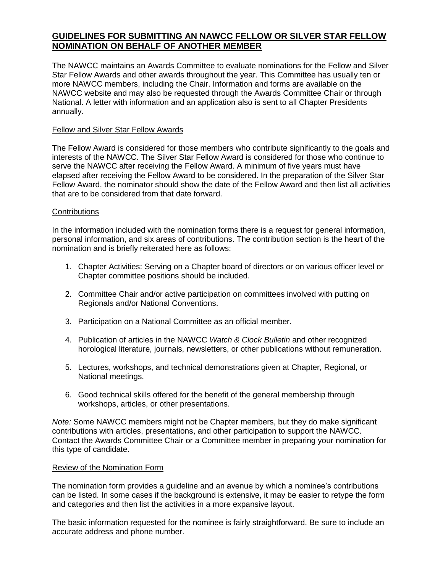## **GUIDELINES FOR SUBMITTING AN NAWCC FELLOW OR SILVER STAR FELLOW NOMINATION ON BEHALF OF ANOTHER MEMBER**

The NAWCC maintains an Awards Committee to evaluate nominations for the Fellow and Silver Star Fellow Awards and other awards throughout the year. This Committee has usually ten or more NAWCC members, including the Chair. Information and forms are available on the NAWCC website and may also be requested through the Awards Committee Chair or through National. A letter with information and an application also is sent to all Chapter Presidents annually.

#### Fellow and Silver Star Fellow Awards

The Fellow Award is considered for those members who contribute significantly to the goals and interests of the NAWCC. The Silver Star Fellow Award is considered for those who continue to serve the NAWCC after receiving the Fellow Award. A minimum of five years must have elapsed after receiving the Fellow Award to be considered. In the preparation of the Silver Star Fellow Award, the nominator should show the date of the Fellow Award and then list all activities that are to be considered from that date forward.

#### **Contributions**

In the information included with the nomination forms there is a request for general information, personal information, and six areas of contributions. The contribution section is the heart of the nomination and is briefly reiterated here as follows:

- 1. Chapter Activities: Serving on a Chapter board of directors or on various officer level or Chapter committee positions should be included.
- 2. Committee Chair and/or active participation on committees involved with putting on Regionals and/or National Conventions.
- 3. Participation on a National Committee as an official member.
- 4. Publication of articles in the NAWCC *Watch & Clock Bulletin* and other recognized horological literature, journals, newsletters, or other publications without remuneration.
- 5. Lectures, workshops, and technical demonstrations given at Chapter, Regional, or National meetings.
- 6. Good technical skills offered for the benefit of the general membership through workshops, articles, or other presentations.

*Note:* Some NAWCC members might not be Chapter members, but they do make significant contributions with articles, presentations, and other participation to support the NAWCC. Contact the Awards Committee Chair or a Committee member in preparing your nomination for this type of candidate.

#### Review of the Nomination Form

The nomination form provides a guideline and an avenue by which a nominee's contributions can be listed. In some cases if the background is extensive, it may be easier to retype the form and categories and then list the activities in a more expansive layout.

The basic information requested for the nominee is fairly straightforward. Be sure to include an accurate address and phone number.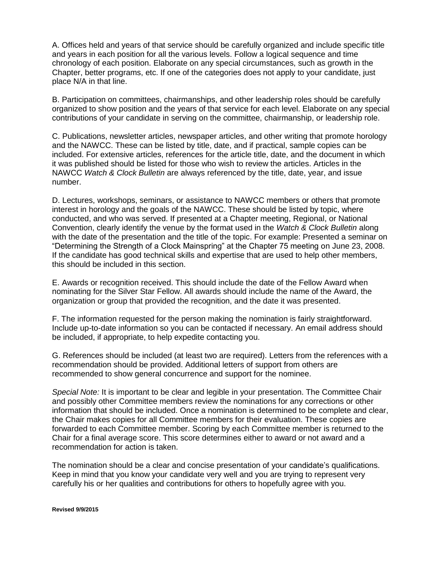A. Offices held and years of that service should be carefully organized and include specific title and years in each position for all the various levels. Follow a logical sequence and time chronology of each position. Elaborate on any special circumstances, such as growth in the Chapter, better programs, etc. If one of the categories does not apply to your candidate, just place N/A in that line.

B. Participation on committees, chairmanships, and other leadership roles should be carefully organized to show position and the years of that service for each level. Elaborate on any special contributions of your candidate in serving on the committee, chairmanship, or leadership role.

C. Publications, newsletter articles, newspaper articles, and other writing that promote horology and the NAWCC. These can be listed by title, date, and if practical, sample copies can be included. For extensive articles, references for the article title, date, and the document in which it was published should be listed for those who wish to review the articles. Articles in the NAWCC *Watch & Clock Bulletin* are always referenced by the title, date, year, and issue number.

D. Lectures, workshops, seminars, or assistance to NAWCC members or others that promote interest in horology and the goals of the NAWCC. These should be listed by topic, where conducted, and who was served. If presented at a Chapter meeting, Regional, or National Convention, clearly identify the venue by the format used in the *Watch & Clock Bulletin* along with the date of the presentation and the title of the topic. For example: Presented a seminar on "Determining the Strength of a Clock Mainspring" at the Chapter 75 meeting on June 23, 2008. If the candidate has good technical skills and expertise that are used to help other members, this should be included in this section.

E. Awards or recognition received. This should include the date of the Fellow Award when nominating for the Silver Star Fellow. All awards should include the name of the Award, the organization or group that provided the recognition, and the date it was presented.

F. The information requested for the person making the nomination is fairly straightforward. Include up-to-date information so you can be contacted if necessary. An email address should be included, if appropriate, to help expedite contacting you.

G. References should be included (at least two are required). Letters from the references with a recommendation should be provided. Additional letters of support from others are recommended to show general concurrence and support for the nominee.

*Special Note:* It is important to be clear and legible in your presentation. The Committee Chair and possibly other Committee members review the nominations for any corrections or other information that should be included. Once a nomination is determined to be complete and clear, the Chair makes copies for all Committee members for their evaluation. These copies are forwarded to each Committee member. Scoring by each Committee member is returned to the Chair for a final average score. This score determines either to award or not award and a recommendation for action is taken.

The nomination should be a clear and concise presentation of your candidate's qualifications. Keep in mind that you know your candidate very well and you are trying to represent very carefully his or her qualities and contributions for others to hopefully agree with you.

**Revised 9/9/2015**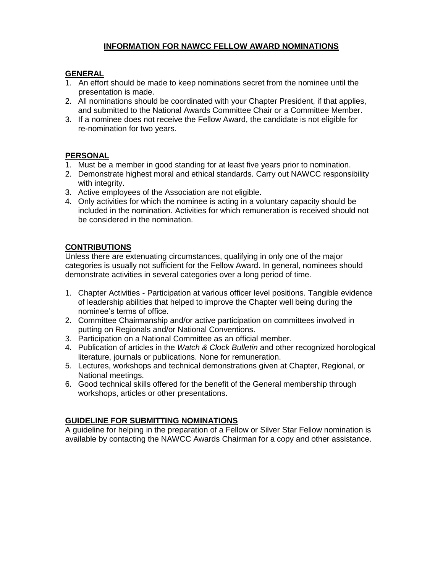## **INFORMATION FOR NAWCC FELLOW AWARD NOMINATIONS**

## **GENERAL**

- 1. An effort should be made to keep nominations secret from the nominee until the presentation is made.
- 2. All nominations should be coordinated with your Chapter President, if that applies, and submitted to the National Awards Committee Chair or a Committee Member.
- 3. If a nominee does not receive the Fellow Award, the candidate is not eligible for re-nomination for two years.

## **PERSONAL**

- 1. Must be a member in good standing for at least five years prior to nomination.
- 2. Demonstrate highest moral and ethical standards. Carry out NAWCC responsibility with integrity.
- 3. Active employees of the Association are not eligible.
- 4. Only activities for which the nominee is acting in a voluntary capacity should be included in the nomination. Activities for which remuneration is received should not be considered in the nomination.

## **CONTRIBUTIONS**

Unless there are extenuating circumstances, qualifying in only one of the major categories is usually not sufficient for the Fellow Award. In general, nominees should demonstrate activities in several categories over a long period of time.

- 1. Chapter Activities Participation at various officer level positions. Tangible evidence of leadership abilities that helped to improve the Chapter well being during the nominee's terms of office.
- 2. Committee Chairmanship and/or active participation on committees involved in putting on Regionals and/or National Conventions.
- 3. Participation on a National Committee as an official member.
- 4. Publication of articles in the *Watch & Clock Bulletin* and other recognized horological literature, journals or publications. None for remuneration.
- 5. Lectures, workshops and technical demonstrations given at Chapter, Regional, or National meetings.
- 6. Good technical skills offered for the benefit of the General membership through workshops, articles or other presentations.

## **GUIDELINE FOR SUBMITTING NOMINATIONS**

A guideline for helping in the preparation of a Fellow or Silver Star Fellow nomination is available by contacting the NAWCC Awards Chairman for a copy and other assistance.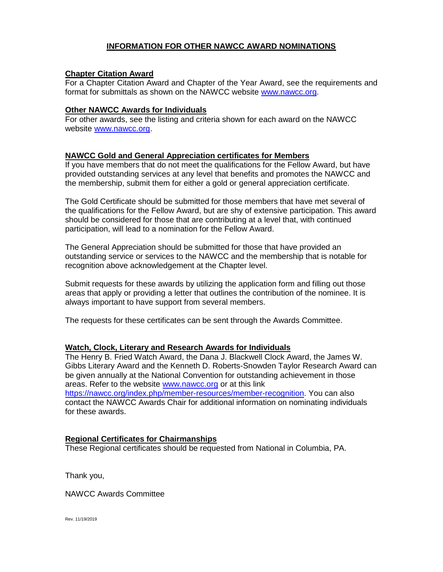## **INFORMATION FOR OTHER NAWCC AWARD NOMINATIONS**

#### **Chapter Citation Award**

For a Chapter Citation Award and Chapter of the Year Award, see the requirements and format for submittals as shown on the NAWCC website [www.nawcc.org.](http://www.nawcc.org/)

#### **Other NAWCC Awards for Individuals**

For other awards, see the listing and criteria shown for each award on the NAWCC website [www.nawcc.org.](http://www.nawcc.org/)

#### **NAWCC Gold and General Appreciation certificates for Members**

If you have members that do not meet the qualifications for the Fellow Award, but have provided outstanding services at any level that benefits and promotes the NAWCC and the membership, submit them for either a gold or general appreciation certificate.

The Gold Certificate should be submitted for those members that have met several of the qualifications for the Fellow Award, but are shy of extensive participation. This award should be considered for those that are contributing at a level that, with continued participation, will lead to a nomination for the Fellow Award.

The General Appreciation should be submitted for those that have provided an outstanding service or services to the NAWCC and the membership that is notable for recognition above acknowledgement at the Chapter level.

Submit requests for these awards by utilizing the application form and filling out those areas that apply or providing a letter that outlines the contribution of the nominee. It is always important to have support from several members.

The requests for these certificates can be sent through the Awards Committee.

## **Watch, Clock, Literary and Research Awards for Individuals**

The Henry B. Fried Watch Award, the Dana J. Blackwell Clock Award, the James W. Gibbs Literary Award and the Kenneth D. Roberts-Snowden Taylor Research Award can be given annually at the National Convention for outstanding achievement in those areas. Refer to the website [www.nawcc.org](http://www.nawcc.org/) or at this link [https://nawcc.org/index.php/member-resources/member-recognition.](https://nawcc.org/index.php/member-resources/member-recognition) You can also contact the NAWCC Awards Chair for additional information on nominating individuals for these awards.

## **Regional Certificates for Chairmanships**

These Regional certificates should be requested from National in Columbia, PA.

Thank you,

NAWCC Awards Committee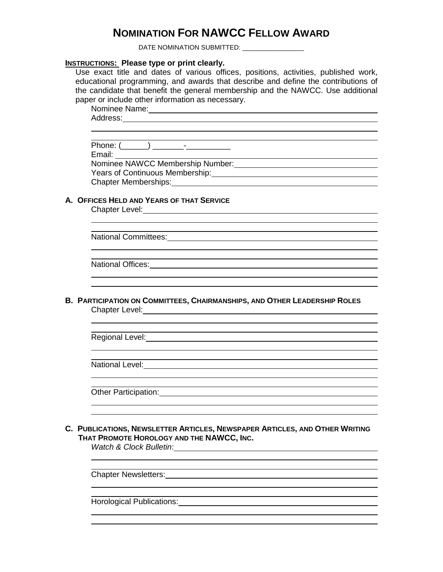# **NOMINATION FOR NAWCC FELLOW AWARD**

DATE NOMINATION SUBMITTED: \_\_\_\_\_\_\_\_\_\_\_\_\_\_\_\_\_

#### **INSTRUCTIONS: Please type or print clearly.**

Use exact title and dates of various offices, positions, activities, published work, educational programming, and awards that describe and define the contributions of the candidate that benefit the general membership and the NAWCC. Use additional paper or include other information as necessary.

Nominee Name:

Address:

 Phone: (\_\_\_\_\_\_) \_\_\_\_\_\_\_-\_\_\_\_\_\_\_\_\_\_ Email:

Nominee NAWCC Membership Number: Management Charles National Charles National Charles National Charles National Charles National Charles National Charles National Charles National Charles National Charles National Charles Years of Continuous Membership: Chapter Memberships:

## **A. OFFICES HELD AND YEARS OF THAT SERVICE**

Chapter Level:

National Committees:

National Offices:

**B. PARTICIPATION ON COMMITTEES, CHAIRMANSHIPS, AND OTHER LEADERSHIP ROLES** Chapter Level: **Example 2018** Chapter Level:

Regional Level:

National Level:

Other Participation:

**C. PUBLICATIONS, NEWSLETTER ARTICLES, NEWSPAPER ARTICLES, AND OTHER WRITING THAT PROMOTE HOROLOGY AND THE NAWCC, INC.**

*Watch & Clock Bulletin*:

Chapter Newsletters: **Example 2018** 

Horological Publications: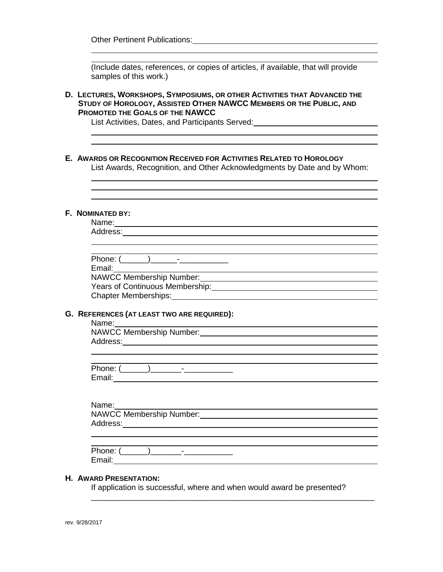Other Pertinent Publications: Manual According to the Contract of the Contract of the Contract of the Contract of the Contract of the Contract of the Contract of the Contract of the Contract of the Contract of the Contract

|  | (Include dates, references, or copies of articles, if available, that will provide<br>samples of this work.)                                                                                                                                                                  |
|--|-------------------------------------------------------------------------------------------------------------------------------------------------------------------------------------------------------------------------------------------------------------------------------|
|  | D. LECTURES, WORKSHOPS, SYMPOSIUMS, OR OTHER ACTIVITIES THAT ADVANCED THE<br>STUDY OF HOROLOGY, ASSISTED OTHER NAWCC MEMBERS OR THE PUBLIC, AND<br><b>PROMOTED THE GOALS OF THE NAWCC</b><br>List Activities, Dates, and Participants Served: Laterator and Activities, Dates |
|  | E. AWARDS OR RECOGNITION RECEIVED FOR ACTIVITIES RELATED TO HOROLOGY<br>List Awards, Recognition, and Other Acknowledgments by Date and by Whom:                                                                                                                              |
|  |                                                                                                                                                                                                                                                                               |
|  | F. NOMINATED BY:<br>Name: and the state of the state of the state of the state of the state of the state of the state of the state of the state of the state of the state of the state of the state of the state of the state of the state of the                             |
|  |                                                                                                                                                                                                                                                                               |
|  | Email: ___                                                                                                                                                                                                                                                                    |
|  | NAWCC Membership Number: Van Antonio Antonio Antonio Antonio Antonio Antonio Antonio Antonio Antonio Antonio A                                                                                                                                                                |
|  | Chapter Memberships: Management Chapter Memberships:                                                                                                                                                                                                                          |
|  |                                                                                                                                                                                                                                                                               |
|  | G. REFERENCES (AT LEAST TWO ARE REQUIRED):<br>Name: Name                                                                                                                                                                                                                      |
|  | NAWCC Membership Number: Management of the Management of the Management of the Management of the Management of the Management of the Management of the Management of the Management of the Management of the Management of the                                                |
|  |                                                                                                                                                                                                                                                                               |
|  |                                                                                                                                                                                                                                                                               |
|  | $\overline{\phantom{a}}$<br>Phone: (                                                                                                                                                                                                                                          |
|  |                                                                                                                                                                                                                                                                               |
|  |                                                                                                                                                                                                                                                                               |
|  |                                                                                                                                                                                                                                                                               |
|  |                                                                                                                                                                                                                                                                               |
|  |                                                                                                                                                                                                                                                                               |
|  |                                                                                                                                                                                                                                                                               |

#### Phone: (\_\_\_\_\_\_)\_\_\_\_\_\_\_-\_\_\_\_\_\_\_\_\_\_\_ Email:

\_\_\_\_\_\_\_\_\_\_\_\_\_\_\_\_\_\_\_\_\_\_\_\_\_\_\_\_\_\_\_\_\_\_\_\_\_\_\_\_\_\_\_\_\_\_\_\_\_\_\_\_\_\_\_\_\_\_\_\_\_\_\_\_

## **H. AWARD PRESENTATION:**

If application is successful, where and when would award be presented?